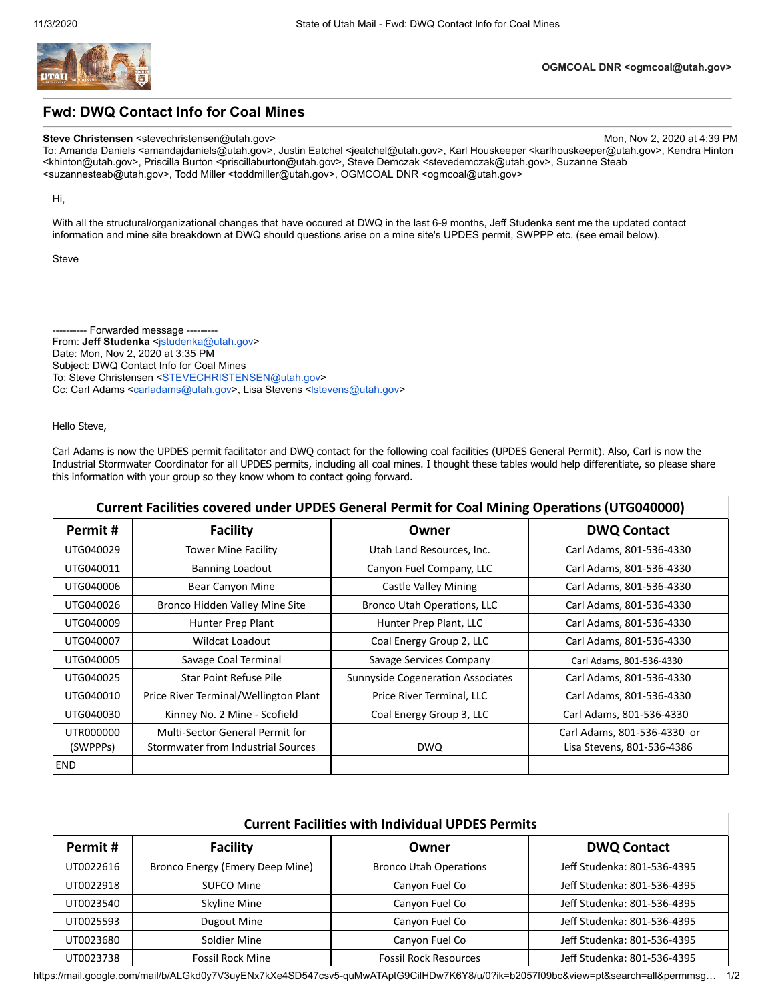

## **Fwd: DWQ Contact Info for Coal Mines**

## **Steve Christensen** <stevechristensen@utah.gov> Mon, Nov 2, 2020 at 4:39 PM

To: Amanda Daniels <amandajdaniels@utah.gov>, Justin Eatchel <jeatchel@utah.gov>, Karl Houskeeper <karlhouskeeper@utah.gov>, Kendra Hinton <khinton@utah.gov>, Priscilla Burton <priscillaburton@utah.gov>, Steve Demczak <stevedemczak@utah.gov>, Suzanne Steab <suzannesteab@utah.gov>, Todd Miller <toddmiller@utah.gov>, OGMCOAL DNR <ogmcoal@utah.gov>

Hi,

With all the structural/organizational changes that have occured at DWQ in the last 6-9 months, Jeff Studenka sent me the updated contact information and mine site breakdown at DWQ should questions arise on a mine site's UPDES permit, SWPPP etc. (see email below).

Steve

---------- Forwarded message -------- From: Jeff Studenka <[jstudenka@utah.gov>](mailto:jstudenka@utah.gov) Date: Mon, Nov 2, 2020 at 3:35 PM Subject: DWQ Contact Info for Coal Mines To: Steve Christensen [<STEVECHRISTENSEN@utah.gov](mailto:STEVECHRISTENSEN@utah.gov)> Cc: Carl Adams <[carladams@utah.gov](mailto:carladams@utah.gov)>, Lisa Stevens [<lstevens@utah.gov>](mailto:lstevens@utah.gov)

## Hello Steve,

Carl Adams is now the UPDES permit facilitator and DWQ contact for the following coal facilities (UPDES General Permit). Also, Carl is now the Industrial Stormwater Coordinator for all UPDES permits, including all coal mines. I thought these tables would help differentiate, so please share this information with your group so they know whom to contact going forward.

| Current Facilities covered under UPDES General Permit for Coal Mining Operations (UTG040000) |                                                                       |                                          |                                                           |  |  |  |
|----------------------------------------------------------------------------------------------|-----------------------------------------------------------------------|------------------------------------------|-----------------------------------------------------------|--|--|--|
| Permit #                                                                                     | <b>Facility</b>                                                       | Owner                                    | <b>DWQ Contact</b>                                        |  |  |  |
| UTG040029                                                                                    | <b>Tower Mine Facility</b>                                            | Utah Land Resources, Inc.                | Carl Adams, 801-536-4330                                  |  |  |  |
| UTG040011                                                                                    | <b>Banning Loadout</b>                                                | Canyon Fuel Company, LLC                 | Carl Adams, 801-536-4330                                  |  |  |  |
| UTG040006                                                                                    | Bear Canyon Mine                                                      | Castle Valley Mining                     | Carl Adams, 801-536-4330                                  |  |  |  |
| UTG040026                                                                                    | Bronco Hidden Valley Mine Site                                        | Bronco Utah Operations, LLC              | Carl Adams, 801-536-4330                                  |  |  |  |
| UTG040009                                                                                    | Hunter Prep Plant                                                     | Hunter Prep Plant, LLC                   | Carl Adams, 801-536-4330                                  |  |  |  |
| UTG040007                                                                                    | Wildcat Loadout                                                       | Coal Energy Group 2, LLC                 | Carl Adams, 801-536-4330                                  |  |  |  |
| UTG040005                                                                                    | Savage Coal Terminal                                                  | Savage Services Company                  | Carl Adams, 801-536-4330                                  |  |  |  |
| UTG040025                                                                                    | <b>Star Point Refuse Pile</b>                                         | <b>Sunnyside Cogeneration Associates</b> | Carl Adams, 801-536-4330                                  |  |  |  |
| UTG040010                                                                                    | Price River Terminal/Wellington Plant                                 | Price River Terminal, LLC                | Carl Adams, 801-536-4330                                  |  |  |  |
| UTG040030                                                                                    | Kinney No. 2 Mine - Scofield                                          | Coal Energy Group 3, LLC                 | Carl Adams, 801-536-4330                                  |  |  |  |
| UTR000000<br>(SWPPP <sub>S</sub> )                                                           | Multi-Sector General Permit for<br>Stormwater from Industrial Sources | <b>DWQ</b>                               | Carl Adams, 801-536-4330 or<br>Lisa Stevens, 801-536-4386 |  |  |  |
| <b>END</b>                                                                                   |                                                                       |                                          |                                                           |  |  |  |

| <b>Current Facilities with Individual UPDES Permits</b> |                                 |                               |                             |  |  |  |
|---------------------------------------------------------|---------------------------------|-------------------------------|-----------------------------|--|--|--|
| Permit#                                                 | <b>Facility</b>                 | Owner                         | <b>DWQ Contact</b>          |  |  |  |
| UT0022616                                               | Bronco Energy (Emery Deep Mine) | <b>Bronco Utah Operations</b> | Jeff Studenka: 801-536-4395 |  |  |  |
| UT0022918                                               | SUFCO Mine                      | Canyon Fuel Co                | Jeff Studenka: 801-536-4395 |  |  |  |
| UT0023540                                               | Skyline Mine                    | Canyon Fuel Co                | Jeff Studenka: 801-536-4395 |  |  |  |
| UT0025593                                               | Dugout Mine                     | Canyon Fuel Co                | Jeff Studenka: 801-536-4395 |  |  |  |
| UT0023680                                               | Soldier Mine                    | Canyon Fuel Co                | Jeff Studenka: 801-536-4395 |  |  |  |
| UT0023738                                               | <b>Fossil Rock Mine</b>         | <b>Fossil Rock Resources</b>  | Jeff Studenka: 801-536-4395 |  |  |  |

https://mail.google.com/mail/b/ALGkd0y7V3uyENx7kXe4SD547csv5-quMwATAptG9CilHDw7K6Y8/u/0?ik=b2057f09bc&view=pt&search=all&permmsg… 1/2